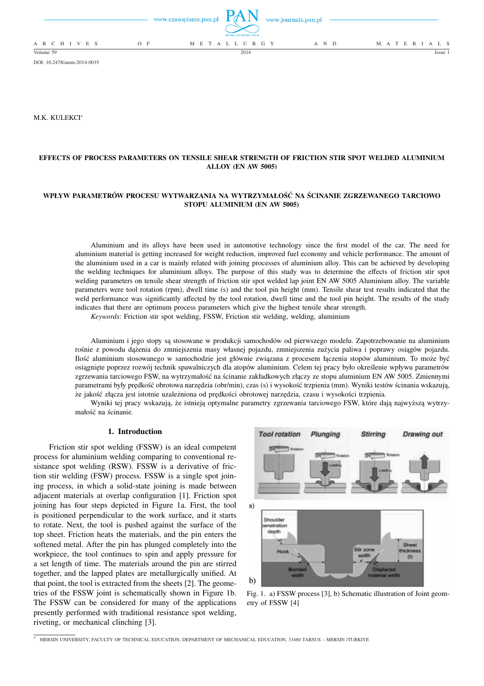|                 |       | www.czasopisma.pan.pl L ( | POLSKA AKADEMIA NAUK | www.journals.pan.pl |                   |
|-----------------|-------|---------------------------|----------------------|---------------------|-------------------|
| A R C H I V E S | $O$ F |                           | M E T A L L U R G Y  | A N D               | M A T E R I A L S |
| Volume 59       |       |                           | 2014                 |                     | Issue             |

DOI: 10.2478/amm-2014-0035

M.K. KULEKCI<sup>∗</sup>

## **EFFECTS OF PROCESS PARAMETERS ON TENSILE SHEAR STRENGTH OF FRICTION STIR SPOT WELDED ALUMINIUM ALLOY (EN AW 5005)**

#### **WPŁYW PARAMETRÓW PROCESU WYTWARZANIA NA WYTRZYMAŁOŚĆ NA ŚCINANIE ZGRZEWANEGO TARCIOWO STOPU ALUMINIUM (EN AW 5005)**

Aluminium and its alloys have been used in automotive technology since the first model of the car. The need for aluminium material is getting increased for weight reduction, improved fuel economy and vehicle performance. The amount of the aluminium used in a car is mainly related with joining processes of aluminium alloy. This can be achieved by developing the welding techniques for aluminium alloys. The purpose of this study was to determine the effects of friction stir spot welding parameters on tensile shear strength of friction stir spot welded lap joint EN AW 5005 Aluminium alloy. The variable parameters were tool rotation (rpm), dwell time (s) and the tool pin height (mm). Tensile shear test results indicated that the weld performance was significantly affected by the tool rotation, dwell time and the tool pin height. The results of the study indicates that there are optimum process parameters which give the highest tensile shear strength.

*Keywords*: Friction stir spot welding, FSSW, Friction stir welding, welding, aluminium

Aluminium i jego stopy są stosowane w produkcji samochodów od pierwszego modelu. Zapotrzebowanie na aluminium rośnie z powodu dążenia do zmniejszenia masy własnej pojazdu, zmniejszenia zużycia paliwa i poprawy osiągów pojazdu. Ilość aluminium stosowanego w samochodzie jest głównie związana z procesem łączenia stopów aluminium. To może być osiągnięte poprzez rozwój technik spawalniczych dla atopów aluminium. Celem tej pracy było określenie wpływu parametrów zgrzewania tarciowego FSW, na wytrzymałość na ścinanie zakładkowych złączy ze stopu aluminium EN AW 5005. Zmiennymi parametrami były prędkość obrotowa narzędzia (obr/min), czas (s) i wysokość trzpienia (mm). Wyniki testów ścinania wskazują, że jakość złącza jest istotnie uzależniona od prędkości obrotowej narzędzia, czasu i wysokości trzpienia.

Wyniki tej pracy wskazują, że istnieją optymalne parametry zgrzewania tarciowego FSW, które dają najwyższą wytrzymałość na ścinanie.

#### **1. Introduction**

Friction stir spot welding (FSSW) is an ideal competent process for aluminium welding comparing to conventional resistance spot welding (RSW). FSSW is a derivative of friction stir welding (FSW) process. FSSW is a single spot joining process, in which a solid-state joining is made between adjacent materials at overlap configuration [1]. Friction spot joining has four steps depicted in Figure 1a. First, the tool is positioned perpendicular to the work surface, and it starts to rotate. Next, the tool is pushed against the surface of the top sheet. Friction heats the materials, and the pin enters the softened metal. After the pin has plunged completely into the workpiece, the tool continues to spin and apply pressure for a set length of time. The materials around the pin are stirred together, and the lapped plates are metallurgically unified. At that point, the tool is extracted from the sheets [2]. The geometries of the FSSW joint is schematically shown in Figure 1b. The FSSW can be considered for many of the applications presently performed with traditional resistance spot welding, riveting, or mechanical clinching [3].



Fig. 1. a) FSSW process [3], b) Schematic illustration of Joint geometry of FSSW [4]

<sup>∗</sup> MERSIN UNIVERSITY, FACULTY OF TECHNICAL EDUCATION, DEPARTMENT OF MECHANICAL EDUCATION, 33480 TARSUS – MERSIN /TURKIYE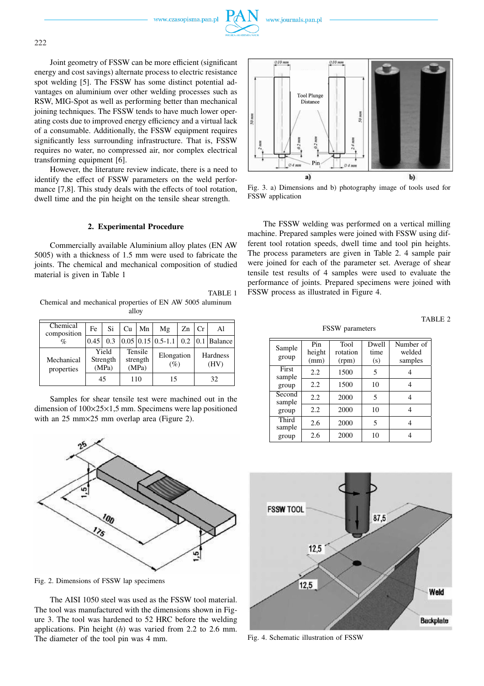



Joint geometry of FSSW can be more efficient (significant energy and cost savings) alternate process to electric resistance spot welding [5]. The FSSW has some distinct potential advantages on aluminium over other welding processes such as RSW, MIG-Spot as well as performing better than mechanical joining techniques. The FSSW tends to have much lower operating costs due to improved energy efficiency and a virtual lack of a consumable. Additionally, the FSSW equipment requires significantly less surrounding infrastructure. That is, FSSW requires no water, no compressed air, nor complex electrical transforming equipment [6].

However, the literature review indicate, there is a need to identify the effect of FSSW parameters on the weld performance [7,8]. This study deals with the effects of tool rotation, dwell time and the pin height on the tensile shear strength.

# **2. Experimental Procedure**

Commercially available Aluminium alloy plates (EN AW 5005) with a thickness of 1.5 mm were used to fabricate the joints. The chemical and mechanical composition of studied material is given in Table 1

TABLE 1 Chemical and mechanical properties of EN AW 5005 aluminum alloy

| Chemical<br>composition<br>$\%$ | Fe                         | Si  | Cu                           | Mn  | Μg                   | Zn | Cr.              | Al                                                                         |
|---------------------------------|----------------------------|-----|------------------------------|-----|----------------------|----|------------------|----------------------------------------------------------------------------|
|                                 | 0.45                       | 0.3 |                              |     |                      |    |                  | $\vert 0.05 \vert 0.15 \vert 0.5$ -1.1 $\vert 0.2 \vert 0.1 \vert$ Balance |
| Mechanical<br>properties        | Yield<br>Strength<br>(MPa) |     | Tensile<br>strength<br>(MPa) |     | Elongation<br>$(\%)$ |    | Hardness<br>(HV) |                                                                            |
|                                 |                            | 45  |                              | 110 | 15                   |    | 32               |                                                                            |

Samples for shear tensile test were machined out in the dimension of 100×25×1,5 mm. Specimens were lap positioned with an 25 mm×25 mm overlap area (Figure 2).



Fig. 2. Dimensions of FSSW lap specimens

The AISI 1050 steel was used as the FSSW tool material. The tool was manufactured with the dimensions shown in Figure 3. The tool was hardened to 52 HRC before the welding applications. Pin height (*h*) was varied from 2.2 to 2.6 mm. The diameter of the tool pin was 4 mm.



Fig. 3. a) Dimensions and b) photography image of tools used for FSSW application

The FSSW welding was performed on a vertical milling machine. Prepared samples were joined with FSSW using different tool rotation speeds, dwell time and tool pin heights. The process parameters are given in Table 2. 4 sample pair were joined for each of the parameter set. Average of shear tensile test results of 4 samples were used to evaluate the performance of joints. Prepared specimens were joined with FSSW process as illustrated in Figure 4.

TABLE 2

FSSW parameters

| Sample<br>group           | Pin<br>height<br>(mm) | Tool<br>rotation<br>(rpm) | Dwell<br>time<br>(s) | Number of<br>welded<br>samples |
|---------------------------|-----------------------|---------------------------|----------------------|--------------------------------|
| First<br>sample<br>group  | 2.2                   | 1500                      | 5                    |                                |
|                           | 2.2                   | 1500                      | 10                   | 4                              |
| Second<br>sample<br>group | 2.2                   | 2000                      | 5                    |                                |
|                           | 2.2                   | 2000                      | 10                   | 4                              |
| Third<br>sample<br>group  | 2.6                   | 2000                      | 5                    |                                |
|                           | 2.6                   | 2000                      | 10                   |                                |



Fig. 4. Schematic illustration of FSSW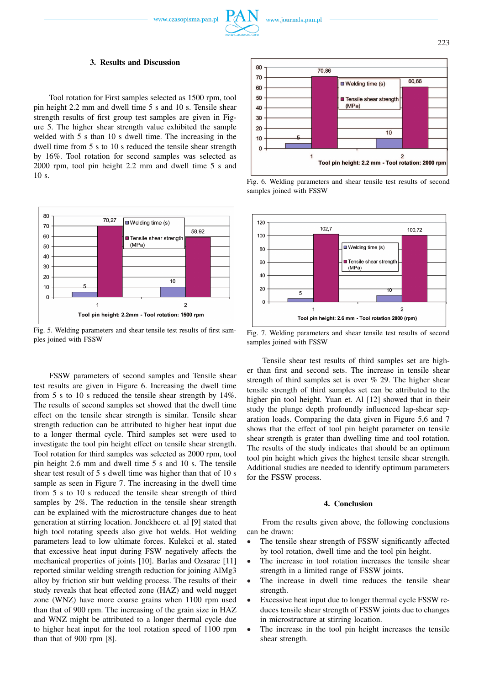www.czasopisma.pan.pl

#### **3. Results and Discussion**

Tool rotation for First samples selected as 1500 rpm, tool pin height 2.2 mm and dwell time 5 s and 10 s. Tensile shear strength results of first group test samples are given in Figure 5. The higher shear strength value exhibited the sample welded with 5 s than 10 s dwell time. The increasing in the dwell time from 5 s to 10 s reduced the tensile shear strength by 16%. Tool rotation for second samples was selected as 2000 rpm, tool pin height 2.2 mm and dwell time 5 s and 10 s.



Fig. 5. Welding parameters and shear tensile test results of first samples joined with FSSW

FSSW parameters of second samples and Tensile shear test results are given in Figure 6. Increasing the dwell time from 5 s to 10 s reduced the tensile shear strength by 14%. The results of second samples set showed that the dwell time effect on the tensile shear strength is similar. Tensile shear strength reduction can be attributed to higher heat input due to a longer thermal cycle. Third samples set were used to investigate the tool pin height effect on tensile shear strength. Tool rotation for third samples was selected as 2000 rpm, tool pin height 2.6 mm and dwell time 5 s and 10 s. The tensile shear test result of 5 s dwell time was higher than that of 10 s sample as seen in Figure 7. The increasing in the dwell time from 5 s to 10 s reduced the tensile shear strength of third samples by 2%. The reduction in the tensile shear strength can be explained with the microstructure changes due to heat generation at stirring location. Jonckheere et. al [9] stated that high tool rotating speeds also give hot welds. Hot welding parameters lead to low ultimate forces. Kulekci et al. stated that excessive heat input during FSW negatively affects the mechanical properties of joints [10]. Barlas and Ozsarac [11] reported similar welding strength reduction for joining AlMg3 alloy by friction stir butt welding process. The results of their study reveals that heat effected zone (HAZ) and weld nugget zone (WNZ) have more coarse grains when 1100 rpm used than that of 900 rpm. The increasing of the grain size in HAZ and WNZ might be attributed to a longer thermal cycle due to higher heat input for the tool rotation speed of 1100 rpm than that of 900 rpm [8].



Fig. 6. Welding parameters and shear tensile test results of second samples joined with FSSW



Fig. 7. Welding parameters and shear tensile test results of second samples joined with FSSW

Tensile shear test results of third samples set are higher than first and second sets. The increase in tensile shear strength of third samples set is over % 29. The higher shear tensile strength of third samples set can be attributed to the higher pin tool height. Yuan et. Al [12] showed that in their study the plunge depth profoundly influenced lap-shear separation loads. Comparing the data given in Figure 5,6 and 7 shows that the effect of tool pin height parameter on tensile shear strength is grater than dwelling time and tool rotation. The results of the study indicates that should be an optimum tool pin height which gives the highest tensile shear strength. Additional studies are needed to identify optimum parameters for the FSSW process.

## **4. Conclusion**

From the results given above, the following conclusions can be drawn:

- The tensile shear strength of FSSW significantly affected by tool rotation, dwell time and the tool pin height.
- The increase in tool rotation increases the tensile shear strength in a limited range of FSSW joints.
- The increase in dwell time reduces the tensile shear strength.
- Excessive heat input due to longer thermal cycle FSSW reduces tensile shear strength of FSSW joints due to changes in microstructure at stirring location.
- The increase in the tool pin height increases the tensile shear strength.